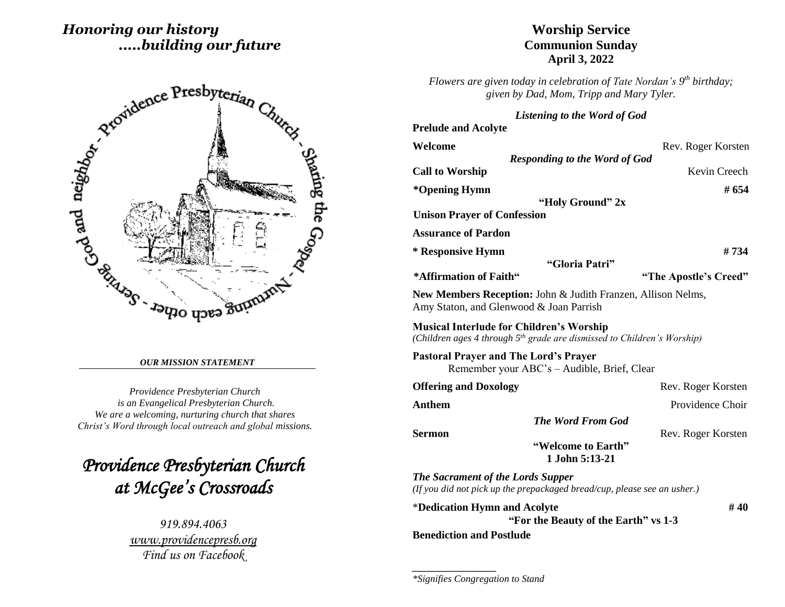# *Honoring our history .....building our future*



#### *OUR MISSION STATEMENT*

*Providence Presbyterian Church is an Evangelical Presbyterian Church. We are a welcoming, nurturing church that shares Christ's Word through local outreach and global missions.*

*Providence Presbyterian Church at McGee's Crossroads* 

> *919.894.4063 [www.providencepresb.org](http://www.providencepresb.org/) Find us on Facebook*

## **Worship Service Communion Sunday April 3, 2022**

*Flowers are given today in celebration of Tate Nordan's 9 th birthday; given by Dad, Mom, Tripp and Mary Tyler.*

#### *Listening to the Word of God*

| <b>Prelude and Acolyte</b>                      |                                                                                     |                       |
|-------------------------------------------------|-------------------------------------------------------------------------------------|-----------------------|
| Welcome                                         |                                                                                     | Rev. Roger Korsten    |
|                                                 | <b>Responding to the Word of God</b>                                                |                       |
| <b>Call to Worship</b>                          |                                                                                     | Kevin Creech          |
| *Opening Hymn                                   |                                                                                     | # 654                 |
|                                                 | "Holy Ground" 2x                                                                    |                       |
| <b>Unison Prayer of Confession</b>              |                                                                                     |                       |
| <b>Assurance of Pardon</b>                      |                                                                                     |                       |
| * Responsive Hymn                               |                                                                                     | # 734                 |
|                                                 | "Gloria Patri"                                                                      |                       |
| *Affirmation of Faith"                          |                                                                                     | "The Apostle's Creed" |
| Amy Staton, and Glenwood & Joan Parrish         | New Members Reception: John & Judith Franzen, Allison Nelms,                        |                       |
| <b>Musical Interlude for Children's Worship</b> | (Children ages 4 through 5 <sup>th</sup> grade are dismissed to Children's Worship) |                       |
| <b>Pastoral Prayer and The Lord's Prayer</b>    | Remember your ABC's – Audible, Brief, Clear                                         |                       |
| <b>Offering and Doxology</b>                    |                                                                                     | Rev. Roger Korsten    |
| <b>Anthem</b>                                   |                                                                                     | Providence Choir      |
|                                                 | <b>The Word From God</b>                                                            |                       |
| <b>Sermon</b>                                   |                                                                                     | Rev. Roger Korsten    |
|                                                 | "Welcome to Earth"<br>1 John 5:13-21                                                |                       |
| <b>The Sacrament of the Lords Supper</b>        | (If you did not pick up the prepackaged bread/cup, please see an usher.)            |                       |
| *Dedication Hymn and Acolyte                    | "For the Beauty of the Earth" vs 1-3                                                | #40                   |
| <b>Benediction and Postlude</b>                 |                                                                                     |                       |

*\*Signifies Congregation to Stand*

*\_\_\_\_\_\_\_\_\_\_\_\_\_\_\_\_\_*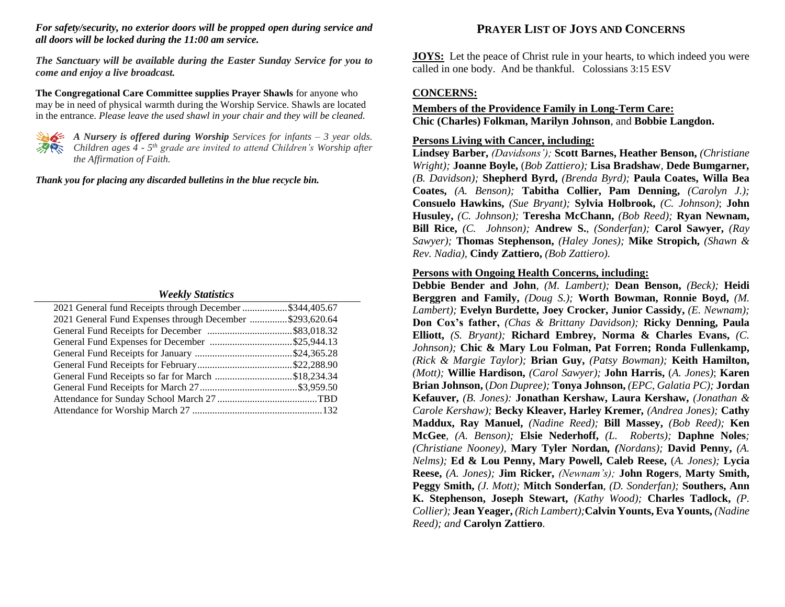#### *For safety/security, no exterior doors will be propped open during service and all doors will be locked during the 11:00 am service.*

*The Sanctuary will be available during the Easter Sunday Service for you to come and enjoy a live broadcast.*

**The Congregational Care Committee supplies Prayer Shawls** for anyone who may be in need of physical warmth during the Worship Service. Shawls are located in the entrance. *Please leave the used shawl in your chair and they will be cleaned.*



*A Nursery is offered during Worship Services for infants – 3 year olds. Children ages 4 - 5 th grade are invited to attend Children's Worship after the Affirmation of Faith.*

*Thank you for placing any discarded bulletins in the blue recycle bin.*

#### *Weekly Statistics*

| 2021 General fund Receipts through December \$344,405.67 |  |
|----------------------------------------------------------|--|
| 2021 General Fund Expenses through December \$293,620.64 |  |
|                                                          |  |
|                                                          |  |
|                                                          |  |
|                                                          |  |
| General Fund Receipts so far for March \$18,234.34       |  |
|                                                          |  |
|                                                          |  |
|                                                          |  |

# **PRAYER LIST OF JOYS AND CONCERNS**

**JOYS:** Let the peace of Christ rule in your hearts, to which indeed you were called in one body. And be thankful. Colossians 3:15 ESV

## **CONCERNS:**

## **Members of the Providence Family in Long-Term Care: Chic (Charles) Folkman, Marilyn Johnson**, and **Bobbie Langdon.**

### **Persons Living with Cancer, including:**

**Lindsey Barber,** *(Davidsons');* **Scott Barnes, Heather Benson,** *(Christiane Wright);* **Joanne Boyle,** (*Bob Zattiero);* **Lisa Bradshaw***,* **Dede Bumgarner***, (B. Davidson);* **Shepherd Byrd,** *(Brenda Byrd);* **Paula Coates, Willa Bea Coates,** *(A. Benson);* **Tabitha Collier, Pam Denning,** *(Carolyn J.);* **Consuelo Hawkins,** *(Sue Bryant);* **Sylvia Holbrook,** *(C. Johnson)*; **John Husuley,** *(C. Johnson);* **Teresha McChann,** *(Bob Reed);* **Ryan Newnam, Bill Rice,** *(C. Johnson);* **Andrew S.**, *(Sonderfan);* **Carol Sawyer,** *(Ray Sawyer);* **Thomas Stephenson,** *(Haley Jones);* **Mike Stropich,** *(Shawn & Rev. Nadia),* **Cindy Zattiero,** *(Bob Zattiero).*

#### **Persons with Ongoing Health Concerns, including:**

**Debbie Bender and John***, (M. Lambert);* **Dean Benson,** *(Beck);* **Heidi Berggren and Family,** *(Doug S.);* **Worth Bowman, Ronnie Boyd,** *(M. Lambert);* **Evelyn Burdette, Joey Crocker, Junior Cassidy,** *(E. Newnam);* **Don Cox's father,** *(Chas & Brittany Davidson);* **Ricky Denning, Paula Elliott,** *(S. Bryant);* **Richard Embrey, Norma & Charles Evans,** *(C. Johnson);* **Chic & Mary Lou Folman, Pat Forren; Ronda Fullenkamp,**  *(Rick & Margie Taylor);* **Brian Guy,** *(Patsy Bowman);* **Keith Hamilton,** *(Mott);* **Willie Hardison,** *(Carol Sawyer);* **John Harris,** (*A. Jones)*; **Karen Brian Johnson,** (*Don Dupree);* **Tonya Johnson,** *(EPC, Galatia PC);* **Jordan Kefauver,** *(B. Jones):* **Jonathan Kershaw, Laura Kershaw,** *(Jonathan & Carole Kershaw);* **Becky Kleaver, Harley Kremer***, (Andrea Jones);* **Cathy Maddux, Ray Manuel,** *(Nadine Reed);* **Bill Massey,** *(Bob Reed);* **Ken McGee***, (A. Benson);* **Elsie Nederhoff,** *(L. Roberts);* **Daphne Noles***; (Christiane Nooney),* **Mary Tyler Nordan***, (Nordans);* **David Penny,** *(A. Nelms);* **Ed & Lou Penny, Mary Powell, Caleb Reese,** (*A. Jones);* **Lycia Reese,** *(A. Jones);* **Jim Ricker,** *(Newnam's);* **John Rogers***,* **Marty Smith, Peggy Smith,** *(J. Mott);* **Mitch Sonderfan***, (D. Sonderfan);* **Southers, Ann K. Stephenson, Joseph Stewart,** *(Kathy Wood);* **Charles Tadlock,** *(P. Collier);* **Jean Yeager,** *(Rich Lambert);***Calvin Younts, Eva Younts,** *(Nadine Reed); and* **Carolyn Zattiero***.*